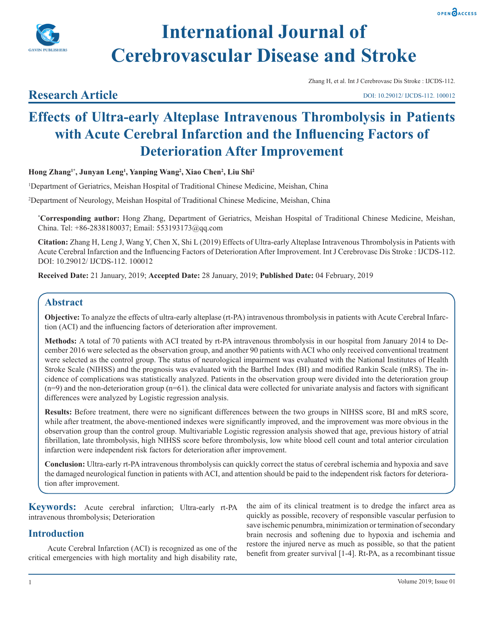



# **International Journal of Cerebrovascular Disease and Stroke**

# **Research Article**

Zhang H, et al. Int J Cerebrovasc Dis Stroke : IJCDS-112.

DOI: 10.29012/ IJCDS-112. 100012

# **Effects of Ultra-early Alteplase Intravenous Thrombolysis in Patients with Acute Cerebral Infarction and the Influencing Factors of Deterioration After Improvement**

**Hong Zhang1\*, Junyan Leng<sup>1</sup> , Yanping Wang<sup>2</sup> , Xiao Chen2 , Liu Shi2**

1 Department of Geriatrics, Meishan Hospital of Traditional Chinese Medicine, Meishan, China

2 Department of Neurology, Meishan Hospital of Traditional Chinese Medicine, Meishan, China

**\* Corresponding author:** Hong Zhang, Department of Geriatrics, Meishan Hospital of Traditional Chinese Medicine, Meishan, China. Tel: +86-2838180037; Email: 553193173@qq.com

**Citation:** Zhang H, Leng J, Wang Y, Chen X, Shi L (2019) Effects of Ultra-early Alteplase Intravenous Thrombolysis in Patients with Acute Cerebral Infarction and the Influencing Factors of Deterioration After Improvement. Int J Cerebrovasc Dis Stroke : IJCDS-112. DOI: 10.29012/ IJCDS-112. 100012

**Received Date:** 21 January, 2019; **Accepted Date:** 28 January, 2019; **Published Date:** 04 February, 2019

# **Abstract**

**Objective:** To analyze the effects of ultra-early alteplase (rt-PA) intravenous thrombolysis in patients with Acute Cerebral Infarction (ACI) and the influencing factors of deterioration after improvement.

**Methods:** A total of 70 patients with ACI treated by rt-PA intravenous thrombolysis in our hospital from January 2014 to December 2016 were selected as the observation group, and another 90 patients with ACI who only received conventional treatment were selected as the control group. The status of neurological impairment was evaluated with the National Institutes of Health Stroke Scale (NIHSS) and the prognosis was evaluated with the Barthel Index (BI) and modified Rankin Scale (mRS). The incidence of complications was statistically analyzed. Patients in the observation group were divided into the deterioration group  $(n=9)$  and the non-deterioration group  $(n=61)$ . the clinical data were collected for univariate analysis and factors with significant differences were analyzed by Logistic regression analysis.

**Results:** Before treatment, there were no significant differences between the two groups in NIHSS score, BI and mRS score, while after treatment, the above-mentioned indexes were significantly improved, and the improvement was more obvious in the observation group than the control group. Multivariable Logistic regression analysis showed that age, previous history of atrial fibrillation, late thrombolysis, high NIHSS score before thrombolysis, low white blood cell count and total anterior circulation infarction were independent risk factors for deterioration after improvement.

**Conclusion:** Ultra-early rt-PA intravenous thrombolysis can quickly correct the status of cerebral ischemia and hypoxia and save the damaged neurological function in patients with ACI, and attention should be paid to the independent risk factors for deterioration after improvement.

**Keywords:** Acute cerebral infarction; Ultra-early rt-PA intravenous thrombolysis; Deterioration

# **Introduction**

Acute Cerebral Infarction (ACI) is recognized as one of the critical emergencies with high mortality and high disability rate, the aim of its clinical treatment is to dredge the infarct area as quickly as possible, recovery of responsible vascular perfusion to save ischemic penumbra, minimization or termination of secondary brain necrosis and softening due to hypoxia and ischemia and restore the injured nerve as much as possible, so that the patient benefit from greater survival [1-4]. Rt-PA, as a recombinant tissue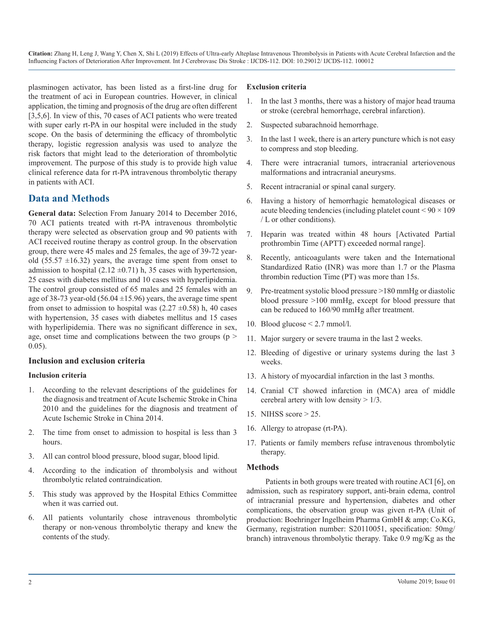plasminogen activator, has been listed as a first-line drug for the treatment of aci in European countries. However, in clinical application, the timing and prognosis of the drug are often different [3,5,6]. In view of this, 70 cases of ACI patients who were treated with super early rt-PA in our hospital were included in the study scope. On the basis of determining the efficacy of thrombolytic therapy, logistic regression analysis was used to analyze the risk factors that might lead to the deterioration of thrombolytic improvement. The purpose of this study is to provide high value clinical reference data for rt-PA intravenous thrombolytic therapy in patients with ACI.

## **Data and Methods**

**General data:** Selection From January 2014 to December 2016, 70 ACI patients treated with rt-PA intravenous thrombolytic therapy were selected as observation group and 90 patients with ACI received routine therapy as control group. In the observation group, there were 45 males and 25 females, the age of 39-72 yearold (55.57  $\pm$ 16.32) years, the average time spent from onset to admission to hospital (2.12  $\pm$ 0.71) h, 35 cases with hypertension, 25 cases with diabetes mellitus and 10 cases with hyperlipidemia. The control group consisted of 65 males and 25 females with an age of 38-73 year-old (56.04  $\pm$ 15.96) years, the average time spent from onset to admission to hospital was  $(2.27 \pm 0.58)$  h, 40 cases with hypertension, 35 cases with diabetes mellitus and 15 cases with hyperlipidemia. There was no significant difference in sex, age, onset time and complications between the two groups ( $p >$ 0.05).

#### **Inclusion and exclusion criteria**

#### **Inclusion criteria**

- 1. According to the relevant descriptions of the guidelines for the diagnosis and treatment of Acute Ischemic Stroke in China 2010 and the guidelines for the diagnosis and treatment of Acute Ischemic Stroke in China 2014.
- 2. The time from onset to admission to hospital is less than 3 hours.
- 3. All can control blood pressure, blood sugar, blood lipid.
- 4. According to the indication of thrombolysis and without thrombolytic related contraindication.
- 5. This study was approved by the Hospital Ethics Committee when it was carried out.
- 6. All patients voluntarily chose intravenous thrombolytic therapy or non-venous thrombolytic therapy and knew the contents of the study.

#### **Exclusion criteria**

- 1. In the last 3 months, there was a history of major head trauma or stroke (cerebral hemorrhage, cerebral infarction).
- 2. Suspected subarachnoid hemorrhage.
- 3. In the last 1 week, there is an artery puncture which is not easy to compress and stop bleeding.
- 4. There were intracranial tumors, intracranial arteriovenous malformations and intracranial aneurysms.
- 5. Recent intracranial or spinal canal surgery.
- 6. Having a history of hemorrhagic hematological diseases or acute bleeding tendencies (including platelet count  $\leq 90 \times 109$ ) / L or other conditions).
- 7. Heparin was treated within 48 hours [Activated Partial prothrombin Time (APTT) exceeded normal range].
- 8. Recently, anticoagulants were taken and the International Standardized Ratio (INR) was more than 1.7 or the Plasma thrombin reduction Time (PT) was more than 15s.
- 9. Pre-treatment systolic blood pressure >180 mmHg or diastolic blood pressure >100 mmHg, except for blood pressure that can be reduced to 160/90 mmHg after treatment.
- 10. Blood glucose < 2.7 mmol/l.
- 11. Major surgery or severe trauma in the last 2 weeks.
- 12. Bleeding of digestive or urinary systems during the last 3 weeks.
- 13. A history of myocardial infarction in the last 3 months.
- 14. Cranial CT showed infarction in (MCA) area of middle cerebral artery with low density  $> 1/3$ .
- 15. NIHSS score > 25.
- 16. Allergy to atropase (rt-PA).
- 17. Patients or family members refuse intravenous thrombolytic therapy.

#### **Methods**

Patients in both groups were treated with routine ACI [6], on admission, such as respiratory support, anti-brain edema, control of intracranial pressure and hypertension, diabetes and other complications, the observation group was given rt-PA (Unit of production: Boehringer Ingelheim Pharma GmbH & amp; Co.KG, Germany, registration number: S20110051, specification: 50mg/ branch) intravenous thrombolytic therapy. Take 0.9 mg/Kg as the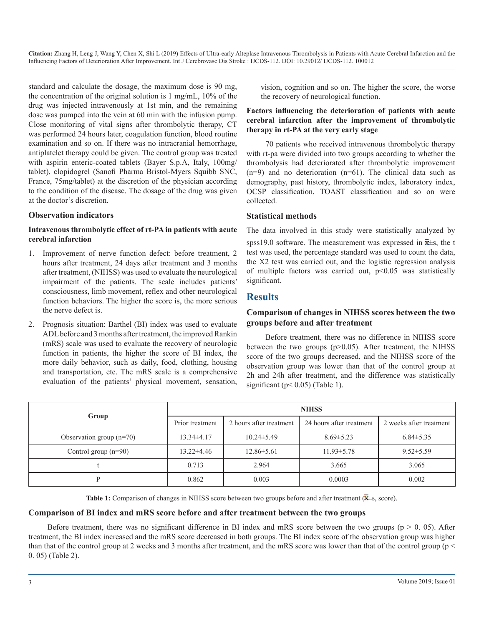standard and calculate the dosage, the maximum dose is 90 mg, the concentration of the original solution is 1 mg/mL, 10% of the drug was injected intravenously at 1st min, and the remaining dose was pumped into the vein at 60 min with the infusion pump. Close monitoring of vital signs after thrombolytic therapy, CT was performed 24 hours later, coagulation function, blood routine examination and so on. If there was no intracranial hemorrhage, antiplatelet therapy could be given. The control group was treated with aspirin enteric-coated tablets (Bayer S.p.A, Italy, 100mg/ tablet), clopidogrel (Sanofi Pharma Bristol-Myers Squibb SNC, France, 75mg/tablet) at the discretion of the physician according to the condition of the disease. The dosage of the drug was given at the doctor's discretion.

#### **Observation indicators**

#### **Intravenous thrombolytic effect of rt-PA in patients with acute cerebral infarction**

- 1. Improvement of nerve function defect: before treatment, 2 hours after treatment, 24 days after treatment and 3 months after treatment, (NIHSS) was used to evaluate the neurological impairment of the patients. The scale includes patients' consciousness, limb movement, reflex and other neurological function behaviors. The higher the score is, the more serious the nerve defect is.
- 2. Prognosis situation: Barthel (BI) index was used to evaluate ADL before and 3 months after treatment, the improved Rankin (mRS) scale was used to evaluate the recovery of neurologic function in patients, the higher the score of BI index, the more daily behavior, such as daily, food, clothing, housing and transportation, etc. The mRS scale is a comprehensive evaluation of the patients' physical movement, sensation,

vision, cognition and so on. The higher the score, the worse the recovery of neurological function.

#### **Factors influencing the deterioration of patients with acute cerebral infarction after the improvement of thrombolytic therapy in rt-PA at the very early stage**

70 patients who received intravenous thrombolytic therapy with rt-pa were divided into two groups according to whether the thrombolysis had deteriorated after thrombolytic improvement  $(n=9)$  and no deterioration  $(n=61)$ . The clinical data such as demography, past history, thrombolytic index, laboratory index, OCSP classification, TOAST classification and so on were collected.

#### **Statistical methods**

The data involved in this study were statistically analyzed by

spss19.0 software. The measurement was expressed in  $\bar{\mathbf{x}}$  + s, the t test was used, the percentage standard was used to count the data, the X2 test was carried out, and the logistic regression analysis of multiple factors was carried out,  $p<0.05$  was statistically significant.

#### **Results**

#### **Comparison of changes in NIHSS scores between the two groups before and after treatment**

Before treatment, there was no difference in NIHSS score between the two groups (p>0.05). After treatment, the NIHSS score of the two groups decreased, and the NIHSS score of the observation group was lower than that of the control group at 2h and 24h after treatment, and the difference was statistically significant ( $p$ < 0.05) (Table 1).

| Group                      | <b>NIHSS</b>     |                         |                          |                         |  |
|----------------------------|------------------|-------------------------|--------------------------|-------------------------|--|
|                            | Prior treatment  | 2 hours after treatment | 24 hours after treatment | 2 weeks after treatment |  |
| Observation group $(n=70)$ | $13.34\pm4.17$   | $10.24 \pm 5.49$        | $8.69 \pm 5.23$          | $6.84 \pm 5.35$         |  |
| Control group $(n=90)$     | $13.22 \pm 4.46$ | $12.86 \pm 5.61$        | $11.93 \pm 5.78$         | $9.52 \pm 5.59$         |  |
|                            | 0.713            | 2.964                   | 3.665                    | 3.065                   |  |
| D                          | 0.862            | 0.003                   | 0.0003                   | 0.002                   |  |

Table 1: Comparison of changes in NIHSS score between two groups before and after treatment ( $\bar{x}$ ±s, score).

#### **Comparison of BI index and mRS score before and after treatment between the two groups**

Before treatment, there was no significant difference in BI index and mRS score between the two groups ( $p > 0$ . 05). After treatment, the BI index increased and the mRS score decreased in both groups. The BI index score of the observation group was higher than that of the control group at 2 weeks and 3 months after treatment, and the mRS score was lower than that of the control group (p < 0. 05) (Table 2).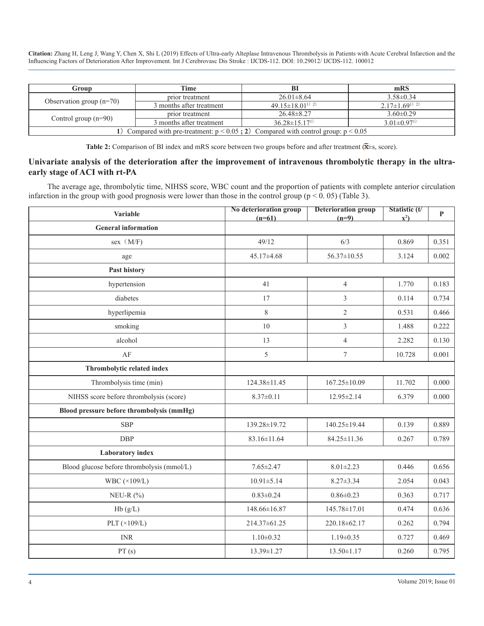| Group                                                                                   | Time                     | Bl                                   | mRS                           |
|-----------------------------------------------------------------------------------------|--------------------------|--------------------------------------|-------------------------------|
| Observation group $(n=70)$                                                              | prior treatment          | $26.01 \pm 8.64$                     | $3.58 \pm 0.34$               |
|                                                                                         | 3 months after treatment | $49.15 \pm 18.01^{13}$ <sup>2)</sup> | $2.17\pm1.69^{(1)}$ 2)        |
| Control group $(n=90)$                                                                  | prior treatment          | $26.48 \pm 8.27$                     | $3.60 \pm 0.29$               |
|                                                                                         | 3 months after treatment | $36.28 \pm 15.17^{1}$                | $3.01 \pm 0.97$ <sup>1)</sup> |
| 1) Compared with pre-treatment: $p < 0.05$ ; 2) Compared with control group: $p < 0.05$ |                          |                                      |                               |

Table 2: Comparison of BI index and mRS score between two groups before and after treatment ( $\bar{x}$ ±s, score).

#### **Univariate analysis of the deterioration after the improvement of intravenous thrombolytic therapy in the ultraearly stage of ACI with rt-PA**

The average age, thrombolytic time, NIHSS score, WBC count and the proportion of patients with complete anterior circulation infarction in the group with good prognosis were lower than those in the control group ( $p < 0.05$ ) (Table 3).

| Variable                                   | No deterioration group<br>$(n=61)$ | <b>Deterioration group</b><br>$(n=9)$ | Statistic (t/<br>$\mathbf{x}^2$ | $\mathbf{P}$ |
|--------------------------------------------|------------------------------------|---------------------------------------|---------------------------------|--------------|
| <b>General information</b>                 |                                    |                                       |                                 |              |
| sex (M/F)                                  | 49/12                              | 6/3                                   | 0.869                           | 0.351        |
| age                                        | 45.17±4.68                         | $56.37 \pm 10.55$                     | 3.124                           | 0.002        |
| Past history                               |                                    |                                       |                                 |              |
| hypertension                               | 41                                 | $\overline{4}$                        | 1.770                           | 0.183        |
| diabetes                                   | 17                                 | 3                                     | 0.114                           | 0.734        |
| hyperlipemia                               | $8\,$                              | $\overline{2}$                        | 0.531                           | 0.466        |
| smoking                                    | 10                                 | $\overline{3}$                        | 1.488                           | 0.222        |
| alcohol                                    | 13                                 | 4                                     | 2.282                           | 0.130        |
| AF                                         | 5                                  | $\boldsymbol{7}$                      | 10.728                          | 0.001        |
| Thrombolytic related index                 |                                    |                                       |                                 |              |
| Thrombolysis time (min)                    | 124.38±11.45                       | $167.25 \pm 10.09$                    | 11.702                          | 0.000        |
| NIHSS score before thrombolysis (score)    | $8.37 \pm 0.11$                    | 12.95±2.14                            | 6.379                           | 0.000        |
| Blood pressure before thrombolysis (mmHg)  |                                    |                                       |                                 |              |
| <b>SBP</b>                                 | 139.28±19.72                       | 140.25±19.44                          | 0.139                           | 0.889        |
| <b>DBP</b>                                 | 83.16±11.64                        | 84.25±11.36                           | 0.267                           | 0.789        |
| <b>Laboratory</b> index                    |                                    |                                       |                                 |              |
| Blood glucose before thrombolysis (mmol/L) | $7.65 \pm 2.47$                    | $8.01 \pm 2.23$                       | 0.446                           | 0.656        |
| WBC $(\times 109/L)$                       | $10.91 \pm 5.14$                   | $8.27 \pm 3.34$                       | 2.054                           | 0.043        |
| NEU-R $(\% )$                              | $0.83 \pm 0.24$                    | $0.86 \pm 0.23$                       | 0.363                           | 0.717        |
| Hb(g/L)                                    | 148.66±16.87                       | 145.78±17.01                          | 0.474                           | 0.636        |
| PLT $(\times 109/L)$                       | 214.37±61.25                       | 220.18±62.17                          | 0.262                           | 0.794        |
| <b>INR</b>                                 | $1.10 \pm 0.32$                    | $1.19 \pm 0.35$                       | 0.727                           | 0.469        |
| PT(s)                                      | 13.39±1.27                         | $13.50 \pm 1.17$                      | 0.260                           | 0.795        |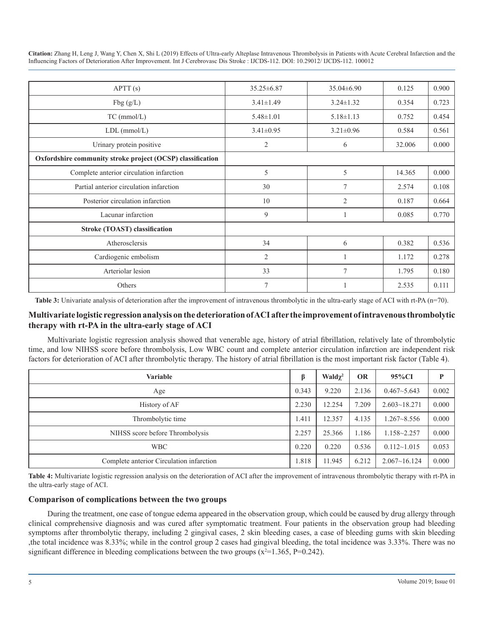| APT(s)                                                     | $35.25 \pm 6.87$ | $35.04\pm 6.90$ | 0.125  | 0.900 |
|------------------------------------------------------------|------------------|-----------------|--------|-------|
| Fbg(g/L)                                                   | $3.41 \pm 1.49$  | $3.24 \pm 1.32$ | 0.354  | 0.723 |
| TC (mmol/L)                                                | $5.48 \pm 1.01$  | $5.18 \pm 1.13$ | 0.752  | 0.454 |
| $LDL$ (mmol/ $L$ )                                         | $3.41 \pm 0.95$  | $3.21 \pm 0.96$ | 0.584  | 0.561 |
| Urinary protein positive                                   | $\overline{2}$   | 6               | 32.006 | 0.000 |
| Oxfordshire community stroke project (OCSP) classification |                  |                 |        |       |
| Complete anterior circulation infarction                   | 5                | 5               | 14.365 | 0.000 |
| Partial anterior circulation infarction                    | 30               | $\overline{7}$  | 2.574  | 0.108 |
| Posterior circulation infarction                           | 10               | $\overline{2}$  | 0.187  | 0.664 |
| Lacunar infarction                                         | 9                |                 | 0.085  | 0.770 |
| <b>Stroke (TOAST) classification</b>                       |                  |                 |        |       |
| Atherosclersis                                             | 34               | 6               | 0.382  | 0.536 |
| Cardiogenic embolism                                       | $\overline{2}$   |                 | 1.172  | 0.278 |
| Arteriolar lesion                                          | 33               | 7               | 1.795  | 0.180 |
| Others                                                     | $\overline{7}$   |                 | 2.535  | 0.111 |

Table 3: Univariate analysis of deterioration after the improvement of intravenous thrombolytic in the ultra-early stage of ACI with rt-PA (n=70).

#### **Multivariate logistic regression analysis on the deterioration of ACI after the improvement of intravenous thrombolytic therapy with rt-PA in the ultra-early stage of ACI**

Multivariate logistic regression analysis showed that venerable age, history of atrial fibrillation, relatively late of thrombolytic time, and low NIHSS score before thrombolysis, Low WBC count and complete anterior circulation infarction are independent risk factors for deterioration of ACI after thrombolytic therapy. The history of atrial fibrillation is the most important risk factor (Table 4).

| Variable                                 | ß     | Wald $\chi^2$ | <b>OR</b> | 95%CI            | P     |
|------------------------------------------|-------|---------------|-----------|------------------|-------|
| Age                                      | 0.343 | 9.220         | 2.136     | $0.467 - 5.643$  | 0.002 |
| History of AF                            | 2.230 | 12.254        | 7.209     | $2.603 - 18.271$ | 0.000 |
| Thrombolytic time                        | 1.411 | 12.357        | 4.135     | $1.267 - 8.556$  | 0.000 |
| NIHSS score before Thrombolysis          | 2.257 | 25.366        | 1.186     | $1.158 - 2.257$  | 0.000 |
| <b>WBC</b>                               | 0.220 | 0.220         | 0.536     | $0.112 - 1.015$  | 0.053 |
| Complete anterior Circulation infarction | .818  | 11.945        | 6.212     | $2.067 - 16.124$ | 0.000 |

**Table 4:** Multivariate logistic regression analysis on the deterioration of ACI after the improvement of intravenous thrombolytic therapy with rt-PA in the ultra-early stage of ACI.

#### **Comparison of complications between the two groups**

During the treatment, one case of tongue edema appeared in the observation group, which could be caused by drug allergy through clinical comprehensive diagnosis and was cured after symptomatic treatment. Four patients in the observation group had bleeding symptoms after thrombolytic therapy, including 2 gingival cases, 2 skin bleeding cases, a case of bleeding gums with skin bleeding ,the total incidence was 8.33%; while in the control group 2 cases had gingival bleeding, the total incidence was 3.33%. There was no significant difference in bleeding complications between the two groups  $(x^2=1.365, P=0.242)$ .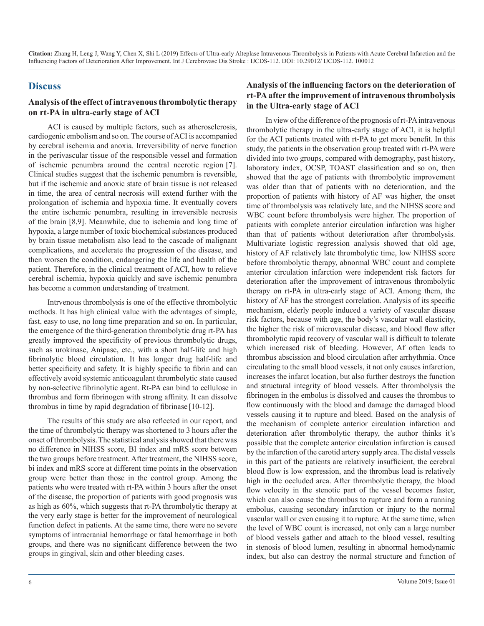# **Discuss**

#### **Analysis of the effect of intravenous thrombolytic therapy on rt-PA in ultra-early stage of ACI**

ACI is caused by multiple factors, such as atherosclerosis, cardiogenic embolism and so on. The course of ACI is accompanied by cerebral ischemia and anoxia. Irreversibility of nerve function in the perivascular tissue of the responsible vessel and formation of ischemic penumbra around the central necrotic region [7]. Clinical studies suggest that the ischemic penumbra is reversible, but if the ischemic and anoxic state of brain tissue is not released in time, the area of central necrosis will extend further with the prolongation of ischemia and hypoxia time. It eventually covers the entire ischemic penumbra, resulting in irreversible necrosis of the brain [8,9]. Meanwhile, due to ischemia and long time of hypoxia, a large number of toxic biochemical substances produced by brain tissue metabolism also lead to the cascade of malignant complications, and accelerate the progression of the disease, and then worsen the condition, endangering the life and health of the patient. Therefore, in the clinical treatment of ACI, how to relieve cerebral ischemia, hypoxia quickly and save ischemic penumbra has become a common understanding of treatment.

Intrvenous thrombolysis is one of the effective thrombolytic methods. It has high clinical value with the advntages of simple, fast, easy to use, no long time preparation and so on. In particular, the emergence of the third-generation thrombolytic drug rt-PA has greatly improved the specificity of previous thrombolytic drugs, such as urokinase, Anipase, etc., with a short half-life and high fibrinolytic blood circulation. It has longer drug half-life and better specificity and safety. It is highly specific to fibrin and can effectively avoid systemic anticoagulant thrombolytic state caused by non-selective fibrinolytic agent. Rt-PA can bind to cellulose in thrombus and form fibrinogen with strong affinity. It can dissolve thrombus in time by rapid degradation of fibrinase [10-12].

The results of this study are also reflected in our report, and the time of thrombolytic therapy was shortened to 3 hours after the onset of thrombolysis. The statistical analysis showed that there was no difference in NIHSS score, BI index and mRS score between the two groups before treatment. After treatment, the NIHSS score, bi index and mRS score at different time points in the observation group were better than those in the control group. Among the patients who were treated with rt-PA within 3 hours after the onset of the disease, the proportion of patients with good prognosis was as high as 60%, which suggests that rt-PA thrombolytic therapy at the very early stage is better for the improvement of neurological function defect in patients. At the same time, there were no severe symptoms of intracranial hemorrhage or fatal hemorrhage in both groups, and there was no significant difference between the two groups in gingival, skin and other bleeding cases.

#### **Analysis of the influencing factors on the deterioration of rt-PA after the improvement of intravenous thrombolysis in the Ultra-early stage of ACI**

In view of the difference of the prognosis of rt-PA intravenous thrombolytic therapy in the ultra-early stage of ACI, it is helpful for the ACI patients treated with rt-PA to get more benefit. In this study, the patients in the observation group treated with rt-PA were divided into two groups, compared with demography, past history, laboratory index, OCSP, TOAST classification and so on, then showed that the age of patients with thrombolytic improvement was older than that of patients with no deterioration, and the proportion of patients with history of AF was higher, the onset time of thrombolysis was relatively late, and the NIHSS score and WBC count before thrombolysis were higher. The proportion of patients with complete anterior circulation infarction was higher than that of patients without deterioration after thrombolysis. Multivariate logistic regression analysis showed that old age, history of AF relatively late thrombolytic time, low NIHSS score before thrombolytic therapy, abnormal WBC count and complete anterior circulation infarction were independent risk factors for deterioration after the improvement of intravenous thrombolytic therapy on rt-PA in ultra-early stage of ACI. Among them, the history of AF has the strongest correlation. Analysis of its specific mechanism, elderly people induced a variety of vascular disease risk factors, because with age, the body's vascular wall elasticity, the higher the risk of microvascular disease, and blood flow after thrombolytic rapid recovery of vascular wall is difficult to tolerate which increased risk of bleeding. However, Af often leads to thrombus abscission and blood circulation after arrhythmia. Once circulating to the small blood vessels, it not only causes infarction, increases the infarct location, but also further destroys the function and structural integrity of blood vessels. After thrombolysis the fibrinogen in the embolus is dissolved and causes the thrombus to flow continuously with the blood and damage the damaged blood vessels causing it to rupture and bleed. Based on the analysis of the mechanism of complete anterior circulation infarction and deterioration after thrombolytic therapy, the author thinks it's possible that the complete anterior circulation infarction is caused by the infarction of the carotid artery supply area. The distal vessels in this part of the patients are relatively insufficient, the cerebral blood flow is low expression, and the thrombus load is relatively high in the occluded area. After thrombolytic therapy, the blood flow velocity in the stenotic part of the vessel becomes faster, which can also cause the thrombus to rupture and form a running embolus, causing secondary infarction or injury to the normal vascular wall or even causing it to rupture. At the same time, when the level of WBC count is increased, not only can a large number of blood vessels gather and attach to the blood vessel, resulting in stenosis of blood lumen, resulting in abnormal hemodynamic index, but also can destroy the normal structure and function of